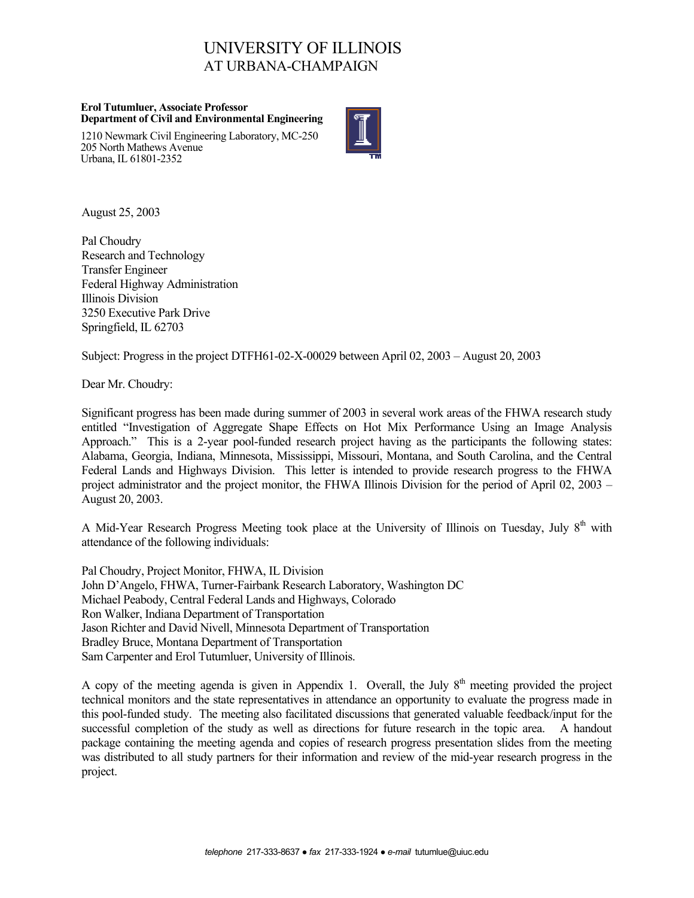# UNIVERSITY OF ILLINOIS AT URBANA-CHAMPAIGN

#### **Erol Tutumluer, Associate Professor Department of Civil and Environmental Engineering**

1210 Newmark Civil Engineering Laboratory, MC-250 205 North Mathews Avenue Urbana, IL 61801-2352



August 25, 2003

Pal Choudry Research and Technology Transfer Engineer Federal Highway Administration Illinois Division 3250 Executive Park Drive Springfield, IL 62703

Subject: Progress in the project DTFH61-02-X-00029 between April 02, 2003 – August 20, 2003

Dear Mr. Choudry:

Significant progress has been made during summer of 2003 in several work areas of the FHWA research study entitled "Investigation of Aggregate Shape Effects on Hot Mix Performance Using an Image Analysis Approach." This is a 2-year pool-funded research project having as the participants the following states: Alabama, Georgia, Indiana, Minnesota, Mississippi, Missouri, Montana, and South Carolina, and the Central Federal Lands and Highways Division. This letter is intended to provide research progress to the FHWA project administrator and the project monitor, the FHWA Illinois Division for the period of April 02, 2003 – August 20, 2003.

A Mid-Year Research Progress Meeting took place at the University of Illinois on Tuesday, July  $8<sup>th</sup>$  with attendance of the following individuals:

Pal Choudry, Project Monitor, FHWA, IL Division John D'Angelo, FHWA, Turner-Fairbank Research Laboratory, Washington DC Michael Peabody, Central Federal Lands and Highways, Colorado Ron Walker, Indiana Department of Transportation Jason Richter and David Nivell, Minnesota Department of Transportation Bradley Bruce, Montana Department of Transportation Sam Carpenter and Erol Tutumluer, University of Illinois.

A copy of the meeting agenda is given in Appendix 1. Overall, the July  $8<sup>th</sup>$  meeting provided the project technical monitors and the state representatives in attendance an opportunity to evaluate the progress made in this pool-funded study. The meeting also facilitated discussions that generated valuable feedback/input for the successful completion of the study as well as directions for future research in the topic area. A handout package containing the meeting agenda and copies of research progress presentation slides from the meeting was distributed to all study partners for their information and review of the mid-year research progress in the project.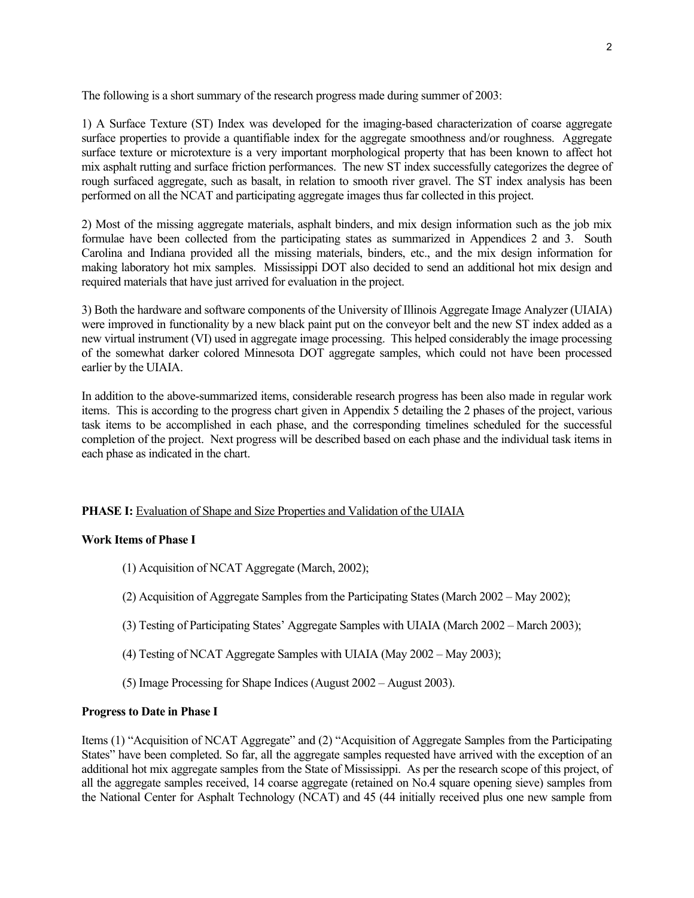The following is a short summary of the research progress made during summer of 2003:

1) A Surface Texture (ST) Index was developed for the imaging-based characterization of coarse aggregate surface properties to provide a quantifiable index for the aggregate smoothness and/or roughness. Aggregate surface texture or microtexture is a very important morphological property that has been known to affect hot mix asphalt rutting and surface friction performances. The new ST index successfully categorizes the degree of rough surfaced aggregate, such as basalt, in relation to smooth river gravel. The ST index analysis has been performed on all the NCAT and participating aggregate images thus far collected in this project.

2) Most of the missing aggregate materials, asphalt binders, and mix design information such as the job mix formulae have been collected from the participating states as summarized in Appendices 2 and 3. South Carolina and Indiana provided all the missing materials, binders, etc., and the mix design information for making laboratory hot mix samples. Mississippi DOT also decided to send an additional hot mix design and required materials that have just arrived for evaluation in the project.

3) Both the hardware and software components of the University of Illinois Aggregate Image Analyzer (UIAIA) were improved in functionality by a new black paint put on the conveyor belt and the new ST index added as a new virtual instrument (VI) used in aggregate image processing. This helped considerably the image processing of the somewhat darker colored Minnesota DOT aggregate samples, which could not have been processed earlier by the UIAIA.

In addition to the above-summarized items, considerable research progress has been also made in regular work items. This is according to the progress chart given in Appendix 5 detailing the 2 phases of the project, various task items to be accomplished in each phase, and the corresponding timelines scheduled for the successful completion of the project. Next progress will be described based on each phase and the individual task items in each phase as indicated in the chart.

### **PHASE I:** Evaluation of Shape and Size Properties and Validation of the UIAIA

### **Work Items of Phase I**

- (1) Acquisition of NCAT Aggregate (March, 2002);
- (2) Acquisition of Aggregate Samples from the Participating States (March 2002 May 2002);
- (3) Testing of Participating States' Aggregate Samples with UIAIA (March 2002 March 2003);
- (4) Testing of NCAT Aggregate Samples with UIAIA (May 2002 May 2003);
- (5) Image Processing for Shape Indices (August 2002 August 2003).

### **Progress to Date in Phase I**

Items (1) "Acquisition of NCAT Aggregate" and (2) "Acquisition of Aggregate Samples from the Participating States" have been completed. So far, all the aggregate samples requested have arrived with the exception of an additional hot mix aggregate samples from the State of Mississippi. As per the research scope of this project, of all the aggregate samples received, 14 coarse aggregate (retained on No.4 square opening sieve) samples from the National Center for Asphalt Technology (NCAT) and 45 (44 initially received plus one new sample from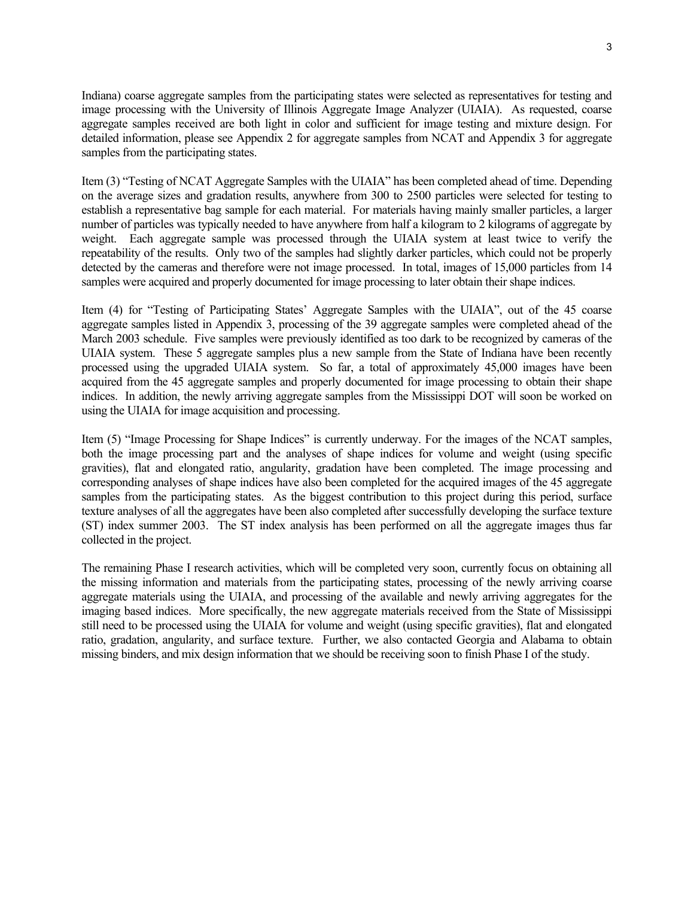Indiana) coarse aggregate samples from the participating states were selected as representatives for testing and image processing with the University of Illinois Aggregate Image Analyzer (UIAIA). As requested, coarse aggregate samples received are both light in color and sufficient for image testing and mixture design. For detailed information, please see Appendix 2 for aggregate samples from NCAT and Appendix 3 for aggregate samples from the participating states.

Item (3) "Testing of NCAT Aggregate Samples with the UIAIA" has been completed ahead of time. Depending on the average sizes and gradation results, anywhere from 300 to 2500 particles were selected for testing to establish a representative bag sample for each material. For materials having mainly smaller particles, a larger number of particles was typically needed to have anywhere from half a kilogram to 2 kilograms of aggregate by weight. Each aggregate sample was processed through the UIAIA system at least twice to verify the repeatability of the results. Only two of the samples had slightly darker particles, which could not be properly detected by the cameras and therefore were not image processed. In total, images of 15,000 particles from 14 samples were acquired and properly documented for image processing to later obtain their shape indices.

Item (4) for "Testing of Participating States' Aggregate Samples with the UIAIA", out of the 45 coarse aggregate samples listed in Appendix 3, processing of the 39 aggregate samples were completed ahead of the March 2003 schedule. Five samples were previously identified as too dark to be recognized by cameras of the UIAIA system. These 5 aggregate samples plus a new sample from the State of Indiana have been recently processed using the upgraded UIAIA system. So far, a total of approximately 45,000 images have been acquired from the 45 aggregate samples and properly documented for image processing to obtain their shape indices. In addition, the newly arriving aggregate samples from the Mississippi DOT will soon be worked on using the UIAIA for image acquisition and processing.

Item (5) "Image Processing for Shape Indices" is currently underway. For the images of the NCAT samples, both the image processing part and the analyses of shape indices for volume and weight (using specific gravities), flat and elongated ratio, angularity, gradation have been completed. The image processing and corresponding analyses of shape indices have also been completed for the acquired images of the 45 aggregate samples from the participating states. As the biggest contribution to this project during this period, surface texture analyses of all the aggregates have been also completed after successfully developing the surface texture (ST) index summer 2003. The ST index analysis has been performed on all the aggregate images thus far collected in the project.

The remaining Phase I research activities, which will be completed very soon, currently focus on obtaining all the missing information and materials from the participating states, processing of the newly arriving coarse aggregate materials using the UIAIA, and processing of the available and newly arriving aggregates for the imaging based indices. More specifically, the new aggregate materials received from the State of Mississippi still need to be processed using the UIAIA for volume and weight (using specific gravities), flat and elongated ratio, gradation, angularity, and surface texture. Further, we also contacted Georgia and Alabama to obtain missing binders, and mix design information that we should be receiving soon to finish Phase I of the study.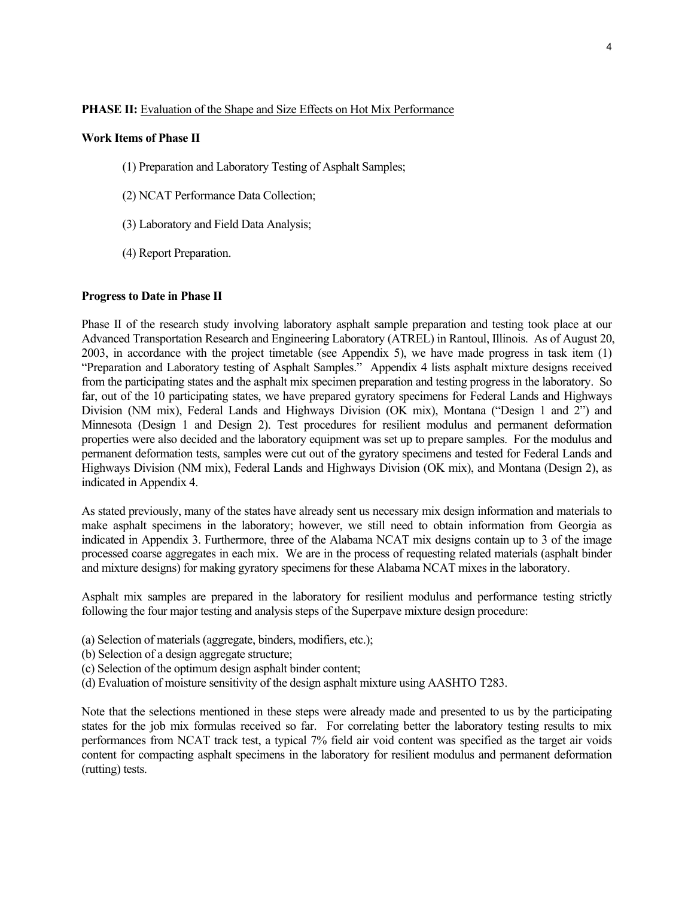#### **PHASE II:** Evaluation of the Shape and Size Effects on Hot Mix Performance

#### **Work Items of Phase II**

- (1) Preparation and Laboratory Testing of Asphalt Samples;
- (2) NCAT Performance Data Collection;
- (3) Laboratory and Field Data Analysis;
- (4) Report Preparation.

#### **Progress to Date in Phase II**

Phase II of the research study involving laboratory asphalt sample preparation and testing took place at our Advanced Transportation Research and Engineering Laboratory (ATREL) in Rantoul, Illinois. As of August 20, 2003, in accordance with the project timetable (see Appendix 5), we have made progress in task item (1) "Preparation and Laboratory testing of Asphalt Samples." Appendix 4 lists asphalt mixture designs received from the participating states and the asphalt mix specimen preparation and testing progress in the laboratory. So far, out of the 10 participating states, we have prepared gyratory specimens for Federal Lands and Highways Division (NM mix), Federal Lands and Highways Division (OK mix), Montana ("Design 1 and 2") and Minnesota (Design 1 and Design 2). Test procedures for resilient modulus and permanent deformation properties were also decided and the laboratory equipment was set up to prepare samples. For the modulus and permanent deformation tests, samples were cut out of the gyratory specimens and tested for Federal Lands and Highways Division (NM mix), Federal Lands and Highways Division (OK mix), and Montana (Design 2), as indicated in Appendix 4.

As stated previously, many of the states have already sent us necessary mix design information and materials to make asphalt specimens in the laboratory; however, we still need to obtain information from Georgia as indicated in Appendix 3. Furthermore, three of the Alabama NCAT mix designs contain up to 3 of the image processed coarse aggregates in each mix. We are in the process of requesting related materials (asphalt binder and mixture designs) for making gyratory specimens for these Alabama NCAT mixes in the laboratory.

Asphalt mix samples are prepared in the laboratory for resilient modulus and performance testing strictly following the four major testing and analysis steps of the Superpave mixture design procedure:

- (a) Selection of materials (aggregate, binders, modifiers, etc.);
- (b) Selection of a design aggregate structure;
- (c) Selection of the optimum design asphalt binder content;
- (d) Evaluation of moisture sensitivity of the design asphalt mixture using AASHTO T283.

Note that the selections mentioned in these steps were already made and presented to us by the participating states for the job mix formulas received so far. For correlating better the laboratory testing results to mix performances from NCAT track test, a typical 7% field air void content was specified as the target air voids content for compacting asphalt specimens in the laboratory for resilient modulus and permanent deformation (rutting) tests.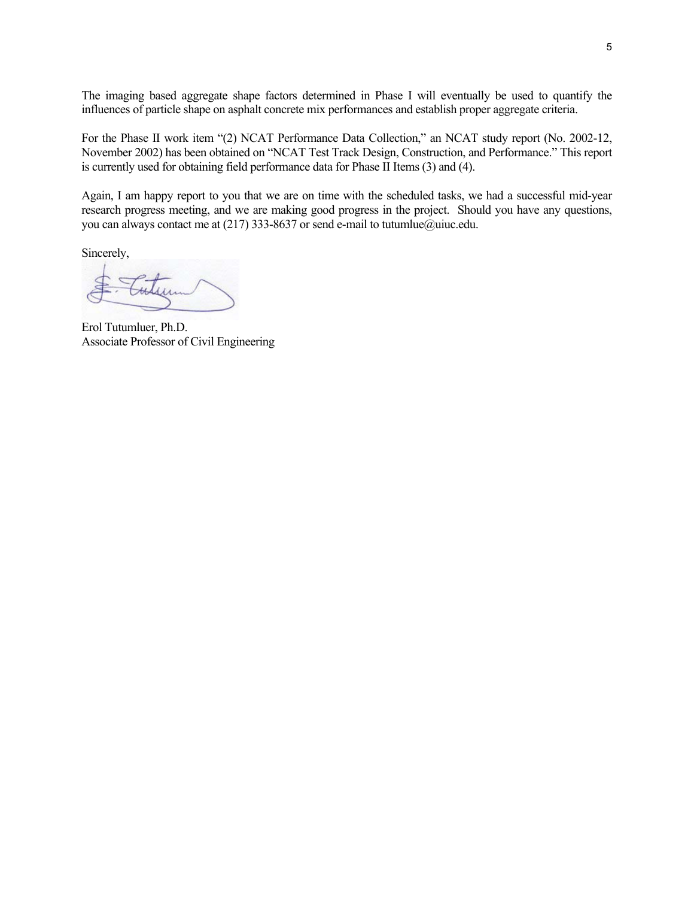The imaging based aggregate shape factors determined in Phase I will eventually be used to quantify the influences of particle shape on asphalt concrete mix performances and establish proper aggregate criteria.

For the Phase II work item "(2) NCAT Performance Data Collection," an NCAT study report (No. 2002-12, November 2002) has been obtained on "NCAT Test Track Design, Construction, and Performance." This report is currently used for obtaining field performance data for Phase II Items (3) and (4).

Again, I am happy report to you that we are on time with the scheduled tasks, we had a successful mid-year research progress meeting, and we are making good progress in the project. Should you have any questions, you can always contact me at (217) 333-8637 or send e-mail to tutumlue@uiuc.edu.

Sincerely,

Erol Tutumluer, Ph.D. Associate Professor of Civil Engineering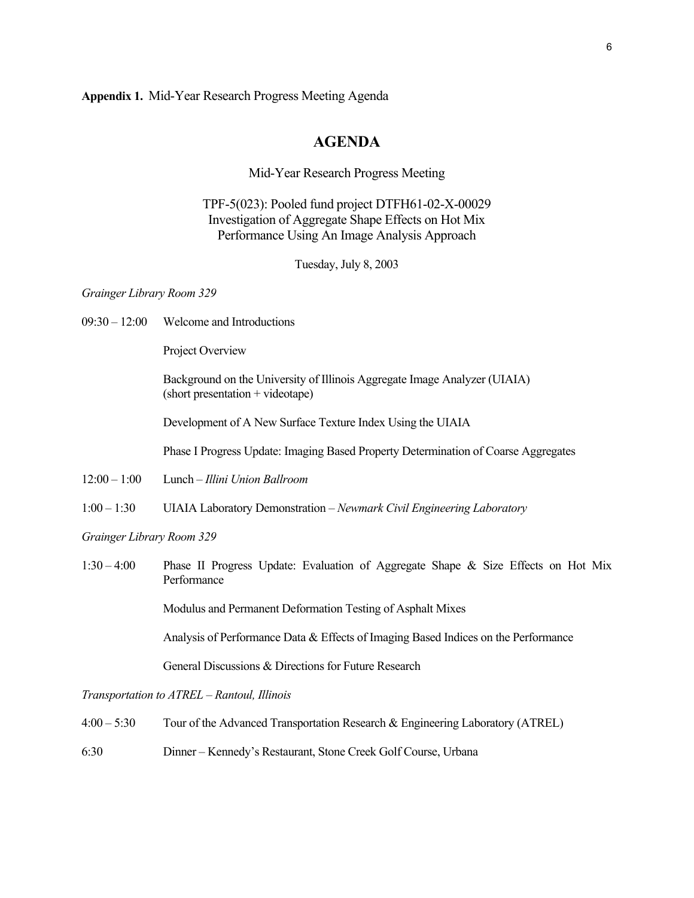**Appendix 1.** Mid-Year Research Progress Meeting Agenda

## **AGENDA**

Mid-Year Research Progress Meeting

TPF-5(023): Pooled fund project DTFH61-02-X-00029 Investigation of Aggregate Shape Effects on Hot Mix Performance Using An Image Analysis Approach

Tuesday, July 8, 2003

*Grainger Library Room 329* 

09:30 – 12:00 Welcome and Introductions

Project Overview

 Background on the University of Illinois Aggregate Image Analyzer (UIAIA) (short presentation + videotape)

Development of A New Surface Texture Index Using the UIAIA

Phase I Progress Update: Imaging Based Property Determination of Coarse Aggregates

- 12:00 1:00 Lunch *Illini Union Ballroom*
- 1:00 1:30 UIAIA Laboratory Demonstration *Newmark Civil Engineering Laboratory*

*Grainger Library Room 329* 

1:30 – 4:00 Phase II Progress Update: Evaluation of Aggregate Shape & Size Effects on Hot Mix Performance

Modulus and Permanent Deformation Testing of Asphalt Mixes

Analysis of Performance Data & Effects of Imaging Based Indices on the Performance

General Discussions & Directions for Future Research

*Transportation to ATREL – Rantoul, Illinois* 

- 4:00 5:30 Tour of the Advanced Transportation Research & Engineering Laboratory (ATREL)
- 6:30 Dinner Kennedy's Restaurant, Stone Creek Golf Course, Urbana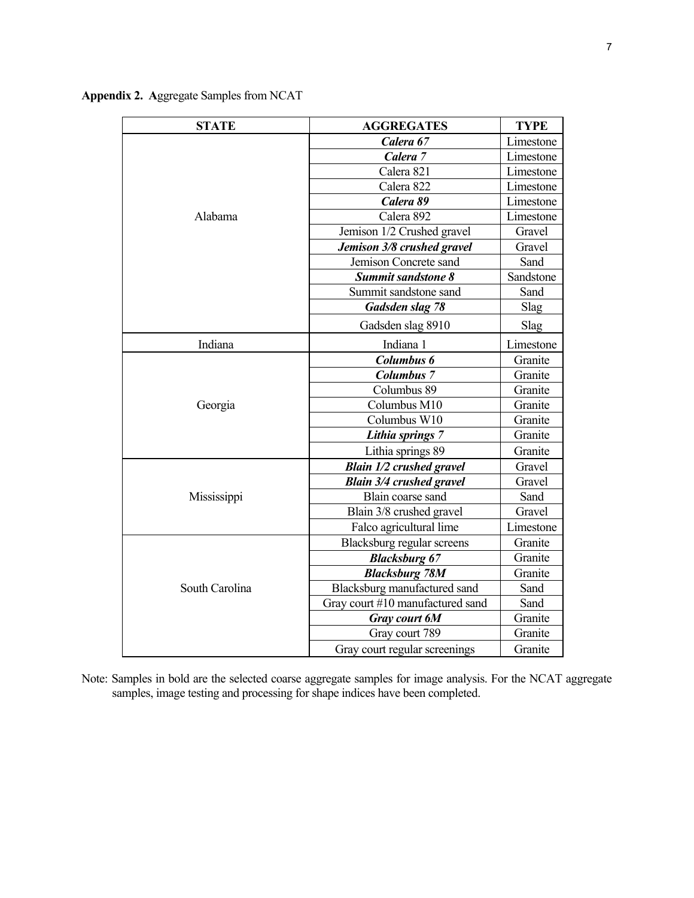| <b>STATE</b>   | <b>AGGREGATES</b>                | <b>TYPE</b> |  |
|----------------|----------------------------------|-------------|--|
|                | Calera 67                        | Limestone   |  |
|                | Calera <sub>7</sub>              | Limestone   |  |
|                | Calera 821                       | Limestone   |  |
|                | Calera 822                       | Limestone   |  |
|                | Calera 89                        | Limestone   |  |
| Alabama        | Calera 892                       | Limestone   |  |
|                | Jemison 1/2 Crushed gravel       | Gravel      |  |
|                | Jemison 3/8 crushed gravel       | Gravel      |  |
|                | Jemison Concrete sand            | Sand        |  |
|                | <b>Summit sandstone 8</b>        | Sandstone   |  |
|                | Summit sandstone sand            | Sand        |  |
|                | Gadsden slag 78                  | Slag        |  |
|                | Gadsden slag 8910                | <b>Slag</b> |  |
| Indiana        | Indiana 1                        | Limestone   |  |
|                | Columbus 6                       | Granite     |  |
|                | <b>Columbus 7</b>                | Granite     |  |
|                | Columbus 89                      | Granite     |  |
| Georgia        | Columbus M10                     | Granite     |  |
|                | Columbus W10                     | Granite     |  |
|                | Lithia springs 7                 | Granite     |  |
|                | Lithia springs 89                | Granite     |  |
|                | <b>Blain 1/2 crushed gravel</b>  | Gravel      |  |
|                | <b>Blain 3/4 crushed gravel</b>  | Gravel      |  |
| Mississippi    | Blain coarse sand                | Sand        |  |
|                | Blain 3/8 crushed gravel         | Gravel      |  |
|                | Falco agricultural lime          | Limestone   |  |
| South Carolina | Blacksburg regular screens       | Granite     |  |
|                | <b>Blacksburg 67</b>             | Granite     |  |
|                | <b>Blacksburg 78M</b>            | Granite     |  |
|                | Blacksburg manufactured sand     | Sand        |  |
|                | Gray court #10 manufactured sand | Sand        |  |
|                | Gray court 6M                    | Granite     |  |
|                | Gray court 789                   | Granite     |  |
|                | Gray court regular screenings    | Granite     |  |

**Appendix 2. A**ggregate Samples from NCAT

Note: Samples in bold are the selected coarse aggregate samples for image analysis. For the NCAT aggregate samples, image testing and processing for shape indices have been completed.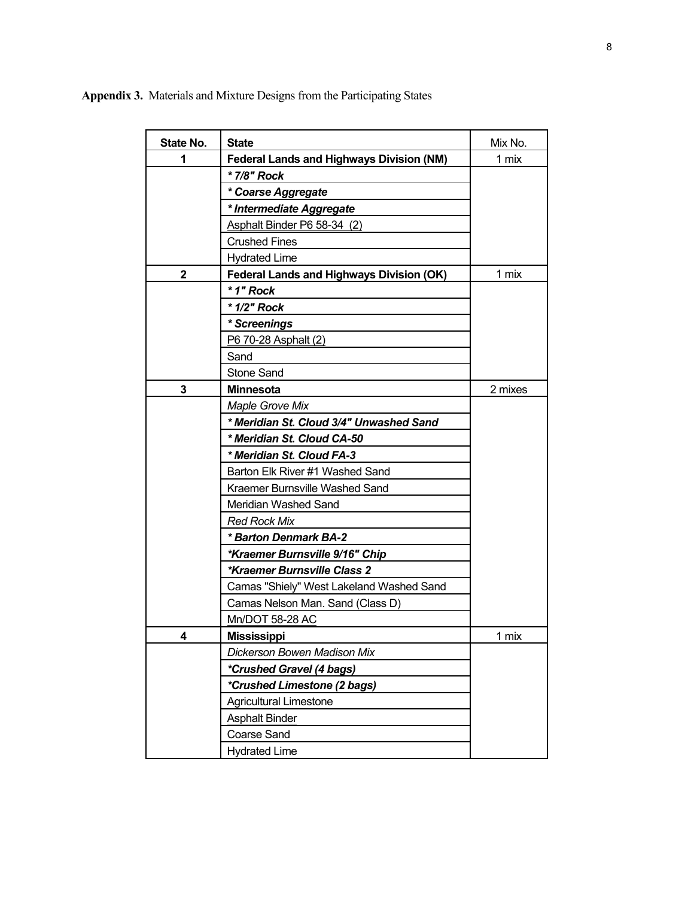**State No.** State **State** Mix No. **1 ederal Lands and Highways Division (NM)** 1 mix *\* 7/8" Rock \* Coarse Aggregate \* Intermediate Aggregate*  Asphalt Binder P6 58-34 (2) Crushed Fines Hydrated Lime **2 Federal Lands and Highways Division (OK)** 1 mix *\* 1" Rock \* 1/2" Rock \* Screenings*  P6 70-28 Asphalt (2) Sand Stone Sand **3 Minnesota** 2 mixes *Maple Grove Mix \* Meridian St. Cloud 3/4" Unwashed Sand \* Meridian St. Cloud CA-50 \* Meridian St. Cloud FA-3*  Barton Elk River #1 Washed Sand Kraemer Burnsville Washed Sand Meridian Washed Sand *Red Rock Mix \* Barton Denmark BA-2 \*Kraemer Burnsville 9/16" Chip \*Kraemer Burnsville Class 2*  Camas "Shiely" West Lakeland Washed Sand Camas Nelson Man. Sand (Class D) Mn/DOT 58-28 AC **4** Mississippi **1 mix** *Dickerson Bowen Madison Mix \*Crushed Gravel (4 bags) \*Crushed Limestone (2 bags)*  Agricultural Limestone Asphalt Binder Coarse Sand Hydrated Lime

**Appendix 3.** Materials and Mixture Designs from the Participating States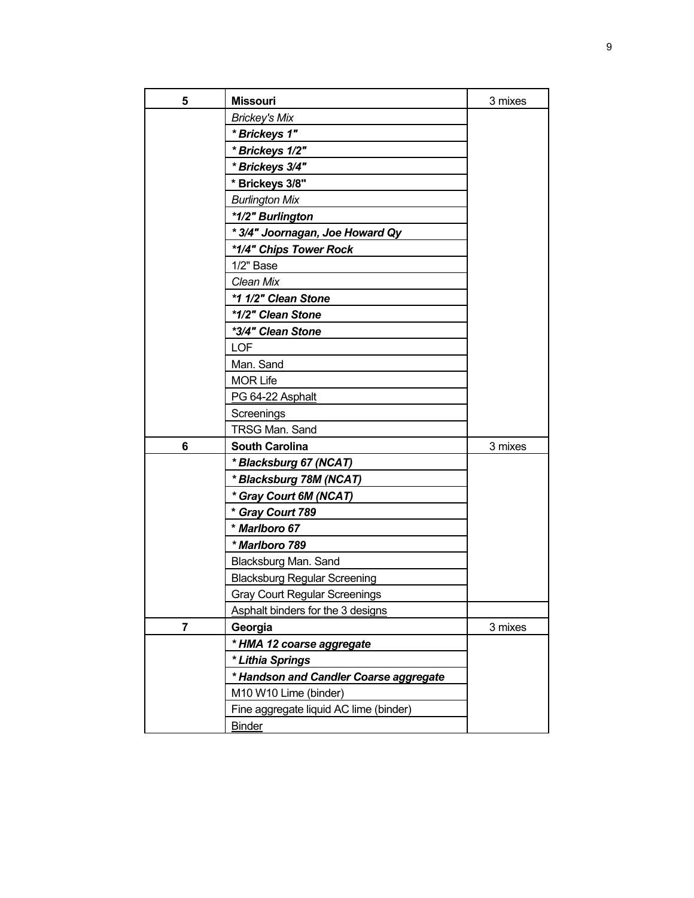| 5 | <b>Missouri</b>                          | 3 mixes |
|---|------------------------------------------|---------|
|   | <b>Brickey's Mix</b>                     |         |
|   | * Brickeys 1"                            |         |
|   | * Brickeys 1/2"                          |         |
|   | * Brickeys 3/4"                          |         |
|   | * Brickeys 3/8"                          |         |
|   | <b>Burlington Mix</b>                    |         |
|   | *1/2" Burlington                         |         |
|   | * 3/4" Joornagan, Joe Howard Qy          |         |
|   | *1/4" Chips Tower Rock                   |         |
|   | $1/2$ " Base                             |         |
|   | Clean Mix                                |         |
|   | *1 1/2" Clean Stone                      |         |
|   | *1/2" Clean Stone                        |         |
|   | *3/4" Clean Stone                        |         |
|   | <b>LOF</b>                               |         |
|   | Man. Sand                                |         |
|   | <b>MOR Life</b>                          |         |
|   | PG 64-22 Asphalt                         |         |
|   | Screenings                               |         |
|   | TRSG Man. Sand                           |         |
| 6 | <b>South Carolina</b>                    | 3 mixes |
|   | *Blacksburg 67 (NCAT)                    |         |
|   | *Blacksburg 78M (NCAT)                   |         |
|   | * Gray Court 6M (NCAT)                   |         |
|   | * Gray Court 789                         |         |
|   | * Marlboro 67                            |         |
|   | * Marlboro 789                           |         |
|   | Blacksburg Man. Sand                     |         |
|   | <b>Blacksburg Regular Screening</b>      |         |
|   | <b>Gray Court Regular Screenings</b>     |         |
|   | <b>Asphalt binders for the 3 designs</b> |         |
| 7 | Georgia                                  | 3 mixes |
|   | * HMA 12 coarse aggregate                |         |
|   | * Lithia Springs                         |         |
|   | * Handson and Candler Coarse aggregate   |         |
|   | M10 W10 Lime (binder)                    |         |
|   | Fine aggregate liquid AC lime (binder)   |         |
|   | <b>Binder</b>                            |         |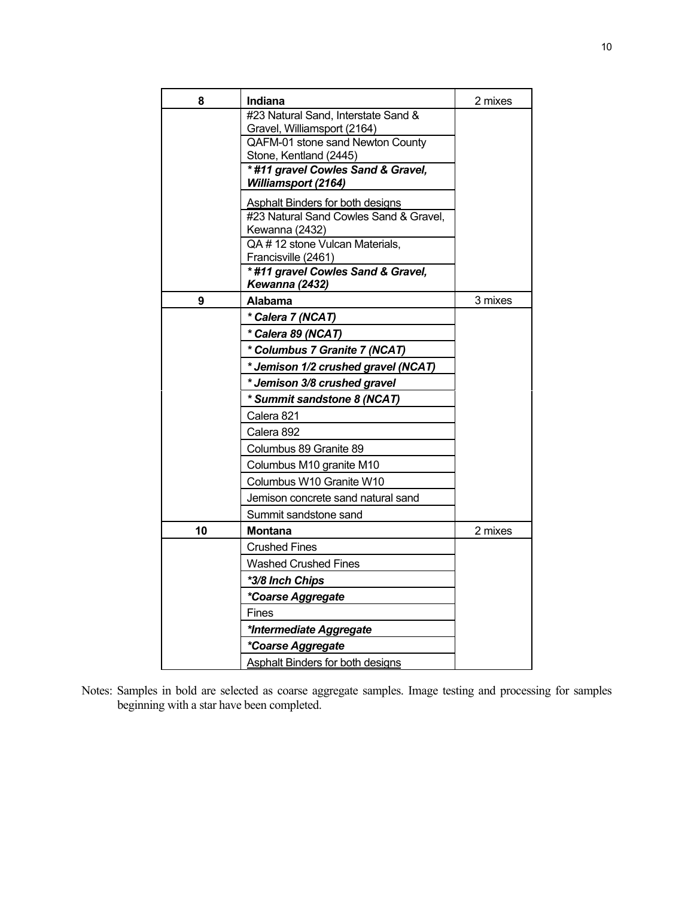| 8  | Indiana                                                         | 2 mixes |
|----|-----------------------------------------------------------------|---------|
|    | #23 Natural Sand, Interstate Sand &                             |         |
|    | Gravel, Williamsport (2164)<br>QAFM-01 stone sand Newton County |         |
|    | Stone, Kentland (2445)                                          |         |
|    | *#11 gravel Cowles Sand & Gravel,<br><b>Williamsport (2164)</b> |         |
|    | Asphalt Binders for both designs                                |         |
|    | #23 Natural Sand Cowles Sand & Gravel,<br>Kewanna (2432)        |         |
|    | QA #12 stone Vulcan Materials,                                  |         |
|    | Francisville (2461)                                             |         |
|    | *#11 gravel Cowles Sand & Gravel,<br>Kewanna (2432)             |         |
| 9  | Alabama                                                         | 3 mixes |
|    | * Calera 7 (NCAT)                                               |         |
|    | * Calera 89 (NCAT)                                              |         |
|    | * Columbus 7 Granite 7 (NCAT)                                   |         |
|    | * Jemison 1/2 crushed gravel (NCAT)                             |         |
|    | * Jemison 3/8 crushed gravel                                    |         |
|    | * Summit sandstone 8 (NCAT)                                     |         |
|    | Calera 821                                                      |         |
|    | Calera 892                                                      |         |
|    | Columbus 89 Granite 89                                          |         |
|    | Columbus M10 granite M10                                        |         |
|    | Columbus W10 Granite W10                                        |         |
|    | Jemison concrete sand natural sand                              |         |
|    | Summit sandstone sand                                           |         |
| 10 | Montana                                                         | 2 mixes |
|    | <b>Crushed Fines</b>                                            |         |
|    | <b>Washed Crushed Fines</b>                                     |         |
|    | *3/8 Inch Chips                                                 |         |
|    | *Coarse Aggregate                                               |         |
|    | Fines                                                           |         |
|    | *Intermediate Aggregate                                         |         |
|    | *Coarse Aggregate                                               |         |
|    | <b>Asphalt Binders for both designs</b>                         |         |

Notes: Samples in bold are selected as coarse aggregate samples. Image testing and processing for samples beginning with a star have been completed.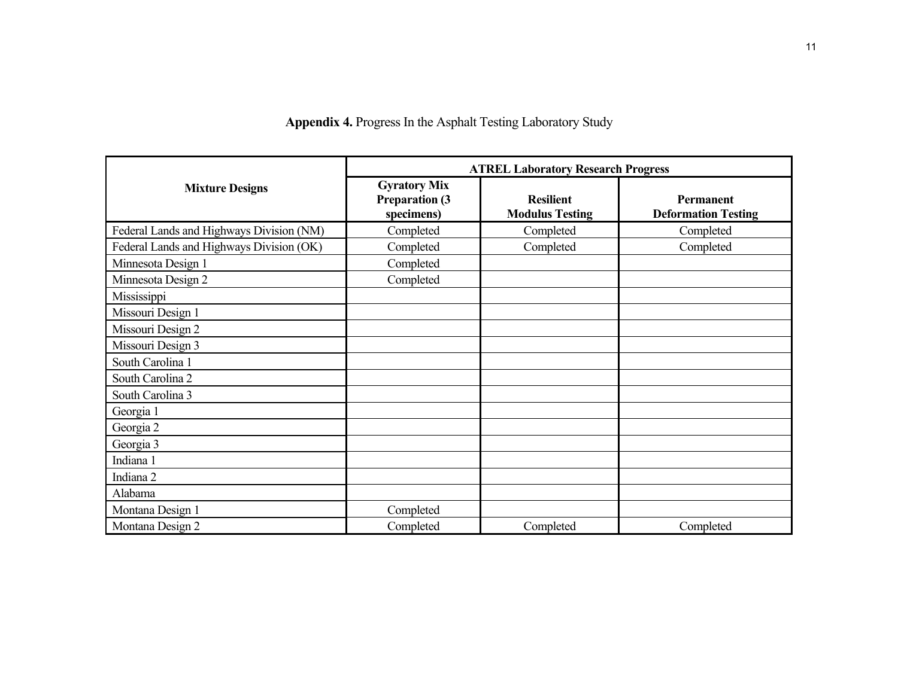**Appendix 4.** Progress In the Asphalt Testing Laboratory Study

|                                          | <b>ATREL Laboratory Research Progress</b>                   |                                            |                                                |  |  |
|------------------------------------------|-------------------------------------------------------------|--------------------------------------------|------------------------------------------------|--|--|
| <b>Mixture Designs</b>                   | <b>Gyratory Mix</b><br><b>Preparation (3)</b><br>specimens) | <b>Resilient</b><br><b>Modulus Testing</b> | <b>Permanent</b><br><b>Deformation Testing</b> |  |  |
| Federal Lands and Highways Division (NM) | Completed                                                   | Completed                                  | Completed                                      |  |  |
| Federal Lands and Highways Division (OK) | Completed                                                   | Completed                                  | Completed                                      |  |  |
| Minnesota Design 1                       | Completed                                                   |                                            |                                                |  |  |
| Minnesota Design 2                       | Completed                                                   |                                            |                                                |  |  |
| Mississippi                              |                                                             |                                            |                                                |  |  |
| Missouri Design 1                        |                                                             |                                            |                                                |  |  |
| Missouri Design 2                        |                                                             |                                            |                                                |  |  |
| Missouri Design 3                        |                                                             |                                            |                                                |  |  |
| South Carolina 1                         |                                                             |                                            |                                                |  |  |
| South Carolina 2                         |                                                             |                                            |                                                |  |  |
| South Carolina 3                         |                                                             |                                            |                                                |  |  |
| Georgia 1                                |                                                             |                                            |                                                |  |  |
| Georgia 2                                |                                                             |                                            |                                                |  |  |
| Georgia 3                                |                                                             |                                            |                                                |  |  |
| Indiana 1                                |                                                             |                                            |                                                |  |  |
| Indiana 2                                |                                                             |                                            |                                                |  |  |
| Alabama                                  |                                                             |                                            |                                                |  |  |
| Montana Design 1                         | Completed                                                   |                                            |                                                |  |  |
| Montana Design 2                         | Completed                                                   | Completed                                  | Completed                                      |  |  |